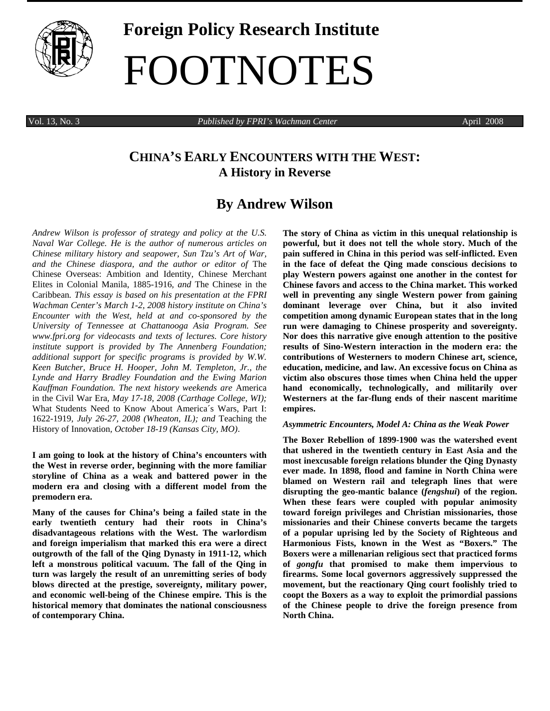

# **Foreign Policy Research Institute**  FOOTNOTES

Vol. 13, No. 3 *Published by FPRI's Wachman Center* April 2008

## **CHINA'S EARLY ENCOUNTERS WITH THE WEST: A History in Reverse**

## **By Andrew Wilson**

*Andrew Wilson is professor of strategy and policy at the U.S. Naval War College. He is the author of numerous articles on Chinese military history and seapower, Sun Tzu's Art of War, and the Chinese diaspora, and the author or editor of* The Chinese Overseas: Ambition and Identity*,* Chinese Merchant Elites in Colonial Manila, 1885-1916*, and* The Chinese in the Caribbean*. This essay is based on his presentation at the FPRI Wachman Center's March 1-2, 2008 history institute on China's Encounter with the West, held at and co-sponsored by the University of Tennessee at Chattanooga Asia Program. See www.fpri.org for videocasts and texts of lectures. Core history institute support is provided by The Annenberg Foundation; additional support for specific programs is provided by W.W. Keen Butcher, Bruce H. Hooper, John M. Templeton, Jr., the Lynde and Harry Bradley Foundation and the Ewing Marion Kauffman Foundation. The next history weekends are* America in the Civil War Era*, May 17-18, 2008 (Carthage College, WI);*  What Students Need to Know About America´s Wars, Part I: 1622-1919*, July 26-27, 2008 (Wheaton, IL); and* Teaching the History of Innovation*, October 18-19 (Kansas City, MO)*.

**I am going to look at the history of China's encounters with the West in reverse order, beginning with the more familiar storyline of China as a weak and battered power in the modern era and closing with a different model from the premodern era.** 

**Many of the causes for China's being a failed state in the early twentieth century had their roots in China's disadvantageous relations with the West. The warlordism and foreign imperialism that marked this era were a direct outgrowth of the fall of the Qing Dynasty in 1911-12, which left a monstrous political vacuum. The fall of the Qing in turn was largely the result of an unremitting series of body blows directed at the prestige, sovereignty, military power, and economic well-being of the Chinese empire. This is the historical memory that dominates the national consciousness of contemporary China.** 

**The story of China as victim in this unequal relationship is powerful, but it does not tell the whole story. Much of the pain suffered in China in this period was self-inflicted. Even in the face of defeat the Qing made conscious decisions to play Western powers against one another in the contest for Chinese favors and access to the China market. This worked well in preventing any single Western power from gaining dominant leverage over China, but it also invited competition among dynamic European states that in the long run were damaging to Chinese prosperity and sovereignty. Nor does this narrative give enough attention to the positive results of Sino-Western interaction in the modern era: the contributions of Westerners to modern Chinese art, science, education, medicine, and law. An excessive focus on China as victim also obscures those times when China held the upper hand economically, technologically, and militarily over Westerners at the far-flung ends of their nascent maritime empires.** 

#### *Asymmetric Encounters, Model A: China as the Weak Power*

**The Boxer Rebellion of 1899-1900 was the watershed event that ushered in the twentieth century in East Asia and the most inexcusable foreign relations blunder the Qing Dynasty ever made. In 1898, flood and famine in North China were blamed on Western rail and telegraph lines that were disrupting the geo-mantic balance (***fengshui***) of the region. When these fears were coupled with popular animosity toward foreign privileges and Christian missionaries, those missionaries and their Chinese converts became the targets of a popular uprising led by the Society of Righteous and Harmonious Fists, known in the West as "Boxers." The Boxers were a millenarian religious sect that practiced forms of** *gongfu* **that promised to make them impervious to firearms. Some local governors aggressively suppressed the movement, but the reactionary Qing court foolishly tried to coopt the Boxers as a way to exploit the primordial passions of the Chinese people to drive the foreign presence from North China.**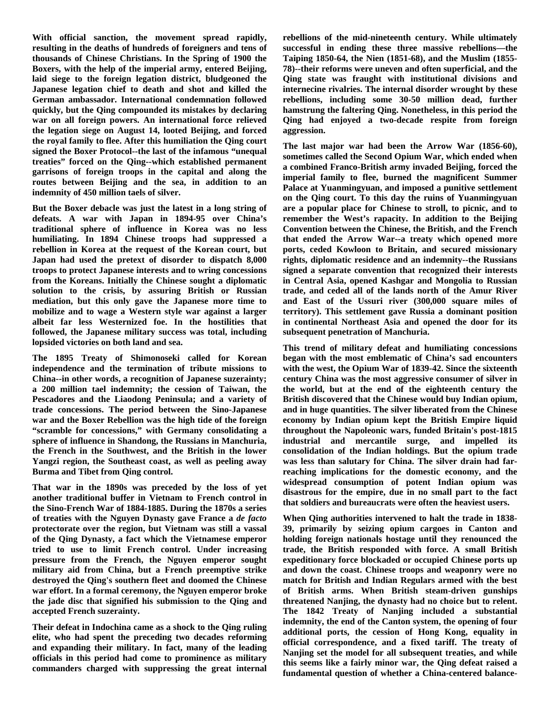**With official sanction, the movement spread rapidly, resulting in the deaths of hundreds of foreigners and tens of thousands of Chinese Christians. In the Spring of 1900 the Boxers, with the help of the imperial army, entered Beijing, laid siege to the foreign legation district, bludgeoned the Japanese legation chief to death and shot and killed the German ambassador. International condemnation followed quickly, but the Qing compounded its mistakes by declaring war on all foreign powers. An international force relieved the legation siege on August 14, looted Beijing, and forced the royal family to flee. After this humiliation the Qing court signed the Boxer Protocol--the last of the infamous "unequal treaties" forced on the Qing--which established permanent garrisons of foreign troops in the capital and along the routes between Beijing and the sea, in addition to an indemnity of 450 million taels of silver.** 

**But the Boxer debacle was just the latest in a long string of defeats. A war with Japan in 1894-95 over China's traditional sphere of influence in Korea was no less humiliating. In 1894 Chinese troops had suppressed a rebellion in Korea at the request of the Korean court, but Japan had used the pretext of disorder to dispatch 8,000 troops to protect Japanese interests and to wring concessions from the Koreans. Initially the Chinese sought a diplomatic solution to the crisis, by assuring British or Russian mediation, but this only gave the Japanese more time to mobilize and to wage a Western style war against a larger albeit far less Westernized foe. In the hostilities that followed, the Japanese military success was total, including lopsided victories on both land and sea.** 

**The 1895 Treaty of Shimonoseki called for Korean independence and the termination of tribute missions to China--in other words, a recognition of Japanese suzerainty; a 200 million tael indemnity; the cession of Taiwan, the Pescadores and the Liaodong Peninsula; and a variety of trade concessions. The period between the Sino-Japanese war and the Boxer Rebellion was the high tide of the foreign "scramble for concessions," with Germany consolidating a sphere of influence in Shandong, the Russians in Manchuria, the French in the Southwest, and the British in the lower Yangzi region, the Southeast coast, as well as peeling away Burma and Tibet from Qing control.** 

**That war in the 1890s was preceded by the loss of yet another traditional buffer in Vietnam to French control in the Sino-French War of 1884-1885. During the 1870s a series of treaties with the Nguyen Dynasty gave France a** *de facto*  **protectorate over the region, but Vietnam was still a vassal of the Qing Dynasty, a fact which the Vietnamese emperor tried to use to limit French control. Under increasing pressure from the French, the Nguyen emperor sought military aid from China, but a French preemptive strike destroyed the Qing's southern fleet and doomed the Chinese war effort. In a formal ceremony, the Nguyen emperor broke the jade disc that signified his submission to the Qing and accepted French suzerainty.** 

**Their defeat in Indochina came as a shock to the Qing ruling elite, who had spent the preceding two decades reforming and expanding their military. In fact, many of the leading officials in this period had come to prominence as military commanders charged with suppressing the great internal** 

**rebellions of the mid-nineteenth century. While ultimately successful in ending these three massive rebellions—the Taiping 1850-64, the Nien (1851-68), and the Muslim (1855- 78)--their reforms were uneven and often superficial, and the Qing state was fraught with institutional divisions and internecine rivalries. The internal disorder wrought by these rebellions, including some 30-50 million dead, further hamstrung the faltering Qing. Nonetheless, in this period the Qing had enjoyed a two-decade respite from foreign aggression.** 

**The last major war had been the Arrow War (1856-60), sometimes called the Second Opium War, which ended when a combined Franco-British army invaded Beijing, forced the imperial family to flee, burned the magnificent Summer Palace at Yuanmingyuan, and imposed a punitive settlement on the Qing court. To this day the ruins of Yuanmingyuan are a popular place for Chinese to stroll, to picnic, and to remember the West's rapacity. In addition to the Beijing Convention between the Chinese, the British, and the French that ended the Arrow War--a treaty which opened more ports, ceded Kowloon to Britain, and secured missionary rights, diplomatic residence and an indemnity--the Russians signed a separate convention that recognized their interests in Central Asia, opened Kashgar and Mongolia to Russian trade, and ceded all of the lands north of the Amur River and East of the Ussuri river (300,000 square miles of territory). This settlement gave Russia a dominant position in continental Northeast Asia and opened the door for its subsequent penetration of Manchuria.** 

**This trend of military defeat and humiliating concessions began with the most emblematic of China's sad encounters with the west, the Opium War of 1839-42. Since the sixteenth century China was the most aggressive consumer of silver in the world, but at the end of the eighteenth century the British discovered that the Chinese would buy Indian opium, and in huge quantities. The silver liberated from the Chinese economy by Indian opium kept the British Empire liquid throughout the Napoleonic wars, funded Britain's post-1815 industrial and mercantile surge, and impelled its consolidation of the Indian holdings. But the opium trade was less than salutary for China. The silver drain had farreaching implications for the domestic economy, and the widespread consumption of potent Indian opium was disastrous for the empire, due in no small part to the fact that soldiers and bureaucrats were often the heaviest users.** 

**When Qing authorities intervened to halt the trade in 1838- 39, primarily by seizing opium cargoes in Canton and holding foreign nationals hostage until they renounced the trade, the British responded with force. A small British expeditionary force blockaded or occupied Chinese ports up and down the coast. Chinese troops and weaponry were no match for British and Indian Regulars armed with the best of British arms. When British steam-driven gunships threatened Nanjing, the dynasty had no choice but to relent. The 1842 Treaty of Nanjing included a substantial indemnity, the end of the Canton system, the opening of four additional ports, the cession of Hong Kong, equality in official correspondence, and a fixed tariff. The treaty of Nanjing set the model for all subsequent treaties, and while this seems like a fairly minor war, the Qing defeat raised a fundamental question of whether a China-centered balance-**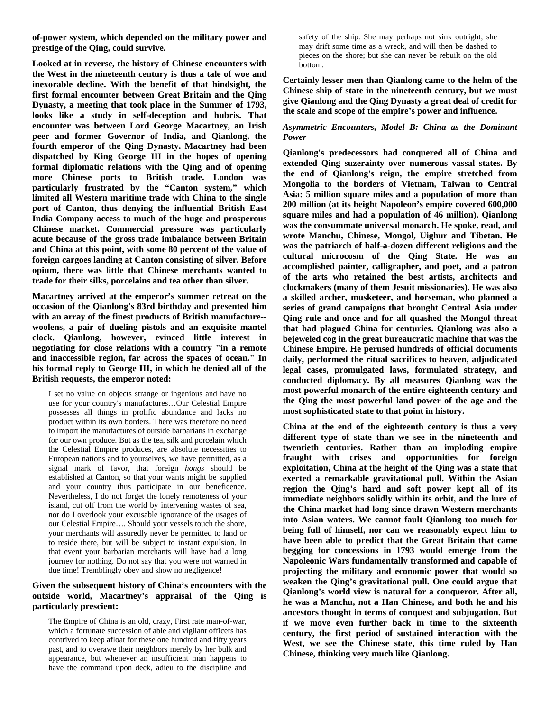**of-power system, which depended on the military power and prestige of the Qing, could survive.** 

**Looked at in reverse, the history of Chinese encounters with the West in the nineteenth century is thus a tale of woe and inexorable decline. With the benefit of that hindsight, the first formal encounter between Great Britain and the Qing Dynasty, a meeting that took place in the Summer of 1793, looks like a study in self-deception and hubris. That encounter was between Lord George Macartney, an Irish peer and former Governor of India, and Qianlong, the fourth emperor of the Qing Dynasty. Macartney had been dispatched by King George III in the hopes of opening formal diplomatic relations with the Qing and of opening more Chinese ports to British trade. London was particularly frustrated by the "Canton system," which limited all Western maritime trade with China to the single port of Canton, thus denying the influential British East India Company access to much of the huge and prosperous Chinese market. Commercial pressure was particularly acute because of the gross trade imbalance between Britain and China at this point, with some 80 percent of the value of foreign cargoes landing at Canton consisting of silver. Before opium, there was little that Chinese merchants wanted to trade for their silks, porcelains and tea other than silver.** 

**Macartney arrived at the emperor's summer retreat on the occasion of the Qianlong's 83rd birthday and presented him with an array of the finest products of British manufacture- woolens, a pair of dueling pistols and an exquisite mantel clock. Qianlong, however, evinced little interest in negotiating for close relations with a country "in a remote and inaccessible region, far across the spaces of ocean." In his formal reply to George III, in which he denied all of the British requests, the emperor noted:** 

I set no value on objects strange or ingenious and have no use for your country's manufactures…Our Celestial Empire possesses all things in prolific abundance and lacks no product within its own borders. There was therefore no need to import the manufactures of outside barbarians in exchange for our own produce. But as the tea, silk and porcelain which the Celestial Empire produces, are absolute necessities to European nations and to yourselves, we have permitted, as a signal mark of favor, that foreign *hongs* should be established at Canton, so that your wants might be supplied and your country thus participate in our beneficence. Nevertheless, I do not forget the lonely remoteness of your island, cut off from the world by intervening wastes of sea, nor do I overlook your excusable ignorance of the usages of our Celestial Empire…. Should your vessels touch the shore, your merchants will assuredly never be permitted to land or to reside there, but will be subject to instant expulsion. In that event your barbarian merchants will have had a long journey for nothing. Do not say that you were not warned in due time! Tremblingly obey and show no negligence!

#### **Given the subsequent history of China's encounters with the outside world, Macartney's appraisal of the Qing is particularly prescient:**

The Empire of China is an old, crazy, First rate man-of-war, which a fortunate succession of able and vigilant officers has contrived to keep afloat for these one hundred and fifty years past, and to overawe their neighbors merely by her bulk and appearance, but whenever an insufficient man happens to have the command upon deck, adieu to the discipline and safety of the ship. She may perhaps not sink outright; she may drift some time as a wreck, and will then be dashed to pieces on the shore; but she can never be rebuilt on the old bottom.

**Certainly lesser men than Qianlong came to the helm of the Chinese ship of state in the nineteenth century, but we must give Qianlong and the Qing Dynasty a great deal of credit for the scale and scope of the empire's power and influence.** 

#### *Asymmetric Encounters, Model B: China as the Dominant Power*

**Qianlong's predecessors had conquered all of China and extended Qing suzerainty over numerous vassal states. By the end of Qianlong's reign, the empire stretched from Mongolia to the borders of Vietnam, Taiwan to Central Asia: 5 million square miles and a population of more than 200 million (at its height Napoleon's empire covered 600,000 square miles and had a population of 46 million). Qianlong was the consummate universal monarch. He spoke, read, and wrote Manchu, Chinese, Mongol, Uighur and Tibetan. He was the patriarch of half-a-dozen different religions and the cultural microcosm of the Qing State. He was an accomplished painter, calligrapher, and poet, and a patron of the arts who retained the best artists, architects and clockmakers (many of them Jesuit missionaries). He was also a skilled archer, musketeer, and horseman, who planned a series of grand campaigns that brought Central Asia under Qing rule and once and for all quashed the Mongol threat that had plagued China for centuries. Qianlong was also a bejeweled cog in the great bureaucratic machine that was the Chinese Empire. He perused hundreds of official documents daily, performed the ritual sacrifices to heaven, adjudicated legal cases, promulgated laws, formulated strategy, and conducted diplomacy. By all measures Qianlong was the most powerful monarch of the entire eighteenth century and the Qing the most powerful land power of the age and the most sophisticated state to that point in history.** 

**China at the end of the eighteenth century is thus a very different type of state than we see in the nineteenth and twentieth centuries. Rather than an imploding empire fraught with crises and opportunities for foreign exploitation, China at the height of the Qing was a state that exerted a remarkable gravitational pull. Within the Asian region the Qing's hard and soft power kept all of its immediate neighbors solidly within its orbit, and the lure of the China market had long since drawn Western merchants into Asian waters. We cannot fault Qianlong too much for being full of himself, nor can we reasonably expect him to have been able to predict that the Great Britain that came begging for concessions in 1793 would emerge from the Napoleonic Wars fundamentally transformed and capable of projecting the military and economic power that would so weaken the Qing's gravitational pull. One could argue that Qianlong's world view is natural for a conqueror. After all, he was a Manchu, not a Han Chinese, and both he and his ancestors thought in terms of conquest and subjugation. But if we move even further back in time to the sixteenth century, the first period of sustained interaction with the West, we see the Chinese state, this time ruled by Han Chinese, thinking very much like Qianlong.**